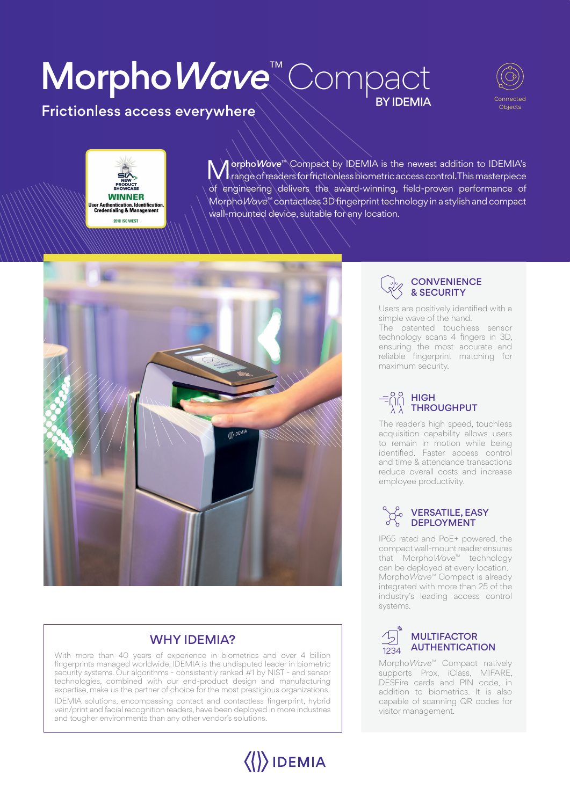## Morpho*Wave*™ *Compact* **BY IDEMIA**



Frictionless access everywhere

## **WINNER** User Authentication, Identification,<br>Credentialing & Management **2018 ISC WEST**

**Morpho***Wa***ve™** Compact by IDEMIA is the newest addition to IDEMIA's range of readers for frictionless biometric access control. This masterpiece of engineering delivers the award-winning, field-proven performance of Morpho*Wave*™ contactless 3D fingerprint technology in a stylish and compact wall-mounted device, suitable for any location.



### Why IDEMIA?

*With more than 40 years of experience in biometrics and over 4 billion fingerprints managed worldwide, IDEMIA is the undisputed leader in biometric security systems. Our algorithms - consistently ranked #1 by NIST - and sensor technologies, combined with our end-product design and manufacturing expertise, make us the partner of choice for the most prestigious organizations. IDEMIA solutions, encompassing contact and contactless fingerprint, hybrid vein/print and facial recognition readers, have been deployed in more industries and tougher environments than any other vendor's solutions.*





*Users are positively identified with a simple wave of the hand. The patented touchless sensor technology scans 4 fingers in 3D, ensuring the most accurate and reliable fingerprint matching for maximum security.*

#### High throughput

*The reader's high speed, touchless acquisition capability allows users to remain in motion while being identified. Faster access control and time & attendance transactions reduce overall costs and increase employee productivity.*

#### versatile, easy **DEPLOYMENT**

*IP65 rated and PoE+ powered, the compact wall-mount reader ensures that MorphoWave™ technology can be deployed at every location. MorphoWave™ Compact is already integrated with more than 25 of the industry's leading access control systems.*



*MorphoWave™ Compact natively supports Prox, iClass, MIFARE, DESFire cards and PIN code, in addition to biometrics. It is also capable of scanning QR codes for visitor management.*